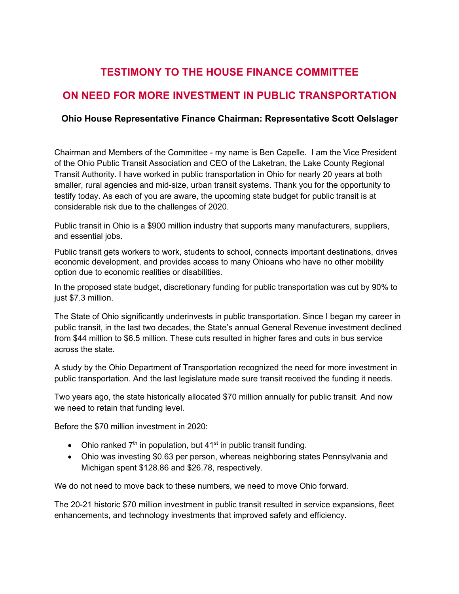## **TESTIMONY TO THE HOUSE FINANCE COMMITTEE**

## **ON NEED FOR MORE INVESTMENT IN PUBLIC TRANSPORTATION**

## **Ohio House Representative Finance Chairman: Representative Scott Oelslager**

Chairman and Members of the Committee - my name is Ben Capelle. I am the Vice President of the Ohio Public Transit Association and CEO of the Laketran, the Lake County Regional Transit Authority. I have worked in public transportation in Ohio for nearly 20 years at both smaller, rural agencies and mid-size, urban transit systems. Thank you for the opportunity to testify today. As each of you are aware, the upcoming state budget for public transit is at considerable risk due to the challenges of 2020.

Public transit in Ohio is a \$900 million industry that supports many manufacturers, suppliers, and essential jobs.

Public transit gets workers to work, students to school, connects important destinations, drives economic development, and provides access to many Ohioans who have no other mobility option due to economic realities or disabilities.

In the proposed state budget, discretionary funding for public transportation was cut by 90% to just \$7.3 million.

The State of Ohio significantly underinvests in public transportation. Since I began my career in public transit, in the last two decades, the State's annual General Revenue investment declined from \$44 million to \$6.5 million. These cuts resulted in higher fares and cuts in bus service across the state.

A study by the Ohio Department of Transportation recognized the need for more investment in public transportation. And the last legislature made sure transit received the funding it needs.

Two years ago, the state historically allocated \$70 million annually for public transit. And now we need to retain that funding level.

Before the \$70 million investment in 2020:

- Ohio ranked  $7<sup>th</sup>$  in population, but 41<sup>st</sup> in public transit funding.
- Ohio was investing \$0.63 per person, whereas neighboring states Pennsylvania and Michigan spent \$128.86 and \$26.78, respectively.

We do not need to move back to these numbers, we need to move Ohio forward.

The 20-21 historic \$70 million investment in public transit resulted in service expansions, fleet enhancements, and technology investments that improved safety and efficiency.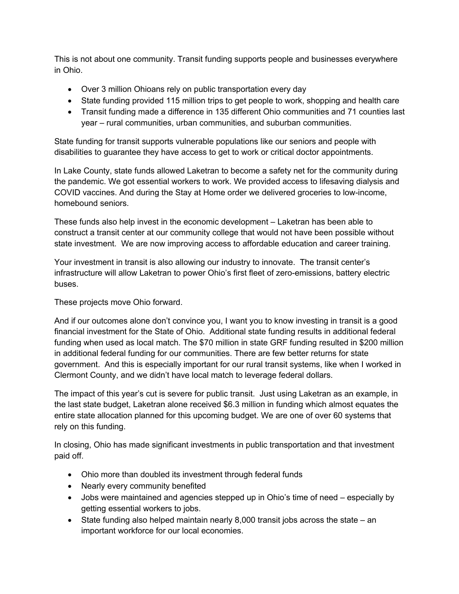This is not about one community. Transit funding supports people and businesses everywhere in Ohio.

- Over 3 million Ohioans rely on public transportation every day
- State funding provided 115 million trips to get people to work, shopping and health care
- Transit funding made a difference in 135 different Ohio communities and 71 counties last year – rural communities, urban communities, and suburban communities.

State funding for transit supports vulnerable populations like our seniors and people with disabilities to guarantee they have access to get to work or critical doctor appointments.

In Lake County, state funds allowed Laketran to become a safety net for the community during the pandemic. We got essential workers to work. We provided access to lifesaving dialysis and COVID vaccines. And during the Stay at Home order we delivered groceries to low-income, homebound seniors.

These funds also help invest in the economic development – Laketran has been able to construct a transit center at our community college that would not have been possible without state investment. We are now improving access to affordable education and career training.

Your investment in transit is also allowing our industry to innovate. The transit center's infrastructure will allow Laketran to power Ohio's first fleet of zero-emissions, battery electric buses.

These projects move Ohio forward.

And if our outcomes alone don't convince you, I want you to know investing in transit is a good financial investment for the State of Ohio. Additional state funding results in additional federal funding when used as local match. The \$70 million in state GRF funding resulted in \$200 million in additional federal funding for our communities. There are few better returns for state government. And this is especially important for our rural transit systems, like when I worked in Clermont County, and we didn't have local match to leverage federal dollars.

The impact of this year's cut is severe for public transit. Just using Laketran as an example, in the last state budget, Laketran alone received \$6.3 million in funding which almost equates the entire state allocation planned for this upcoming budget. We are one of over 60 systems that rely on this funding.

In closing, Ohio has made significant investments in public transportation and that investment paid off.

- Ohio more than doubled its investment through federal funds
- Nearly every community benefited
- Jobs were maintained and agencies stepped up in Ohio's time of need especially by getting essential workers to jobs.
- State funding also helped maintain nearly 8,000 transit jobs across the state an important workforce for our local economies.